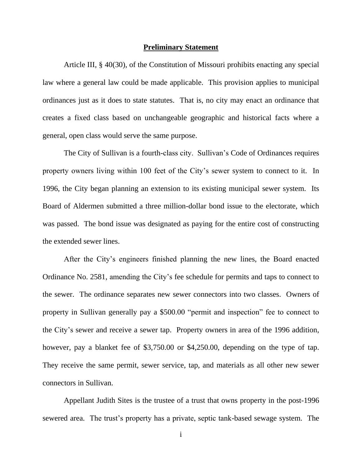#### **Preliminary Statement**

Article III, § 40(30), of the Constitution of Missouri prohibits enacting any special law where a general law could be made applicable. This provision applies to municipal ordinances just as it does to state statutes. That is, no city may enact an ordinance that creates a fixed class based on unchangeable geographic and historical facts where a general, open class would serve the same purpose.

The City of Sullivan is a fourth-class city. Sullivan"s Code of Ordinances requires property owners living within 100 feet of the City"s sewer system to connect to it. In 1996, the City began planning an extension to its existing municipal sewer system. Its Board of Aldermen submitted a three million-dollar bond issue to the electorate, which was passed. The bond issue was designated as paying for the entire cost of constructing the extended sewer lines.

After the City"s engineers finished planning the new lines, the Board enacted Ordinance No. 2581, amending the City"s fee schedule for permits and taps to connect to the sewer. The ordinance separates new sewer connectors into two classes. Owners of property in Sullivan generally pay a \$500.00 "permit and inspection" fee to connect to the City"s sewer and receive a sewer tap. Property owners in area of the 1996 addition, however, pay a blanket fee of \$3,750.00 or \$4,250.00, depending on the type of tap. They receive the same permit, sewer service, tap, and materials as all other new sewer connectors in Sullivan.

Appellant Judith Sites is the trustee of a trust that owns property in the post-1996 sewered area. The trust's property has a private, septic tank-based sewage system. The

i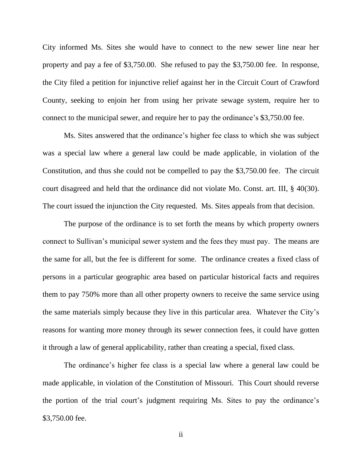City informed Ms. Sites she would have to connect to the new sewer line near her property and pay a fee of \$3,750.00. She refused to pay the \$3,750.00 fee. In response, the City filed a petition for injunctive relief against her in the Circuit Court of Crawford County, seeking to enjoin her from using her private sewage system, require her to connect to the municipal sewer, and require her to pay the ordinance's \$3,750.00 fee.

Ms. Sites answered that the ordinance"s higher fee class to which she was subject was a special law where a general law could be made applicable, in violation of the Constitution, and thus she could not be compelled to pay the \$3,750.00 fee. The circuit court disagreed and held that the ordinance did not violate Mo. Const. art. III, § 40(30). The court issued the injunction the City requested. Ms. Sites appeals from that decision.

The purpose of the ordinance is to set forth the means by which property owners connect to Sullivan"s municipal sewer system and the fees they must pay. The means are the same for all, but the fee is different for some. The ordinance creates a fixed class of persons in a particular geographic area based on particular historical facts and requires them to pay 750% more than all other property owners to receive the same service using the same materials simply because they live in this particular area. Whatever the City"s reasons for wanting more money through its sewer connection fees, it could have gotten it through a law of general applicability, rather than creating a special, fixed class.

The ordinance's higher fee class is a special law where a general law could be made applicable, in violation of the Constitution of Missouri. This Court should reverse the portion of the trial court's judgment requiring Ms. Sites to pay the ordinance's \$3,750.00 fee.

ii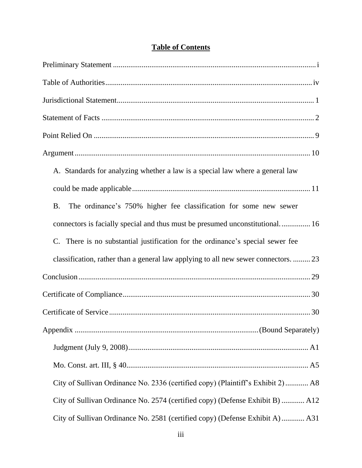| A. Standards for analyzing whether a law is a special law where a general law              |
|--------------------------------------------------------------------------------------------|
|                                                                                            |
| The ordinance's 750% higher fee classification for some new sewer<br><b>B.</b>             |
| connectors is facially special and thus must be presumed unconstitutional 16               |
| There is no substantial justification for the ordinance's special sewer fee<br>$C_{\cdot}$ |
| classification, rather than a general law applying to all new sewer connectors.  23        |
|                                                                                            |
|                                                                                            |
|                                                                                            |
|                                                                                            |
|                                                                                            |
|                                                                                            |
| City of Sullivan Ordinance No. 2336 (certified copy) (Plaintiff's Exhibit 2) A8            |
| City of Sullivan Ordinance No. 2574 (certified copy) (Defense Exhibit B)  A12              |
| City of Sullivan Ordinance No. 2581 (certified copy) (Defense Exhibit A)  A31              |

# **Table of Contents**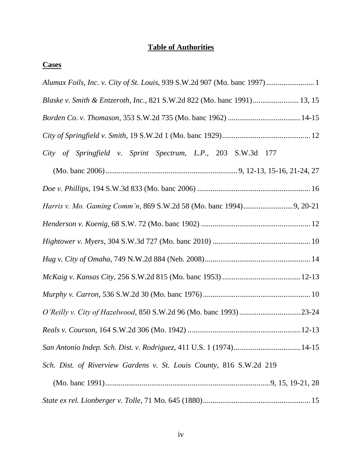# **Table of Authorities**

## **Cases**

| Blaske v. Smith & Entzeroth, Inc., 821 S.W.2d 822 (Mo. banc 1991) 13, 15 |
|--------------------------------------------------------------------------|
|                                                                          |
|                                                                          |
| City of Springfield v. Sprint Spectrum, L.P., 203 S.W.3d 177             |
|                                                                          |
|                                                                          |
|                                                                          |
|                                                                          |
|                                                                          |
|                                                                          |
|                                                                          |
|                                                                          |
|                                                                          |
|                                                                          |
|                                                                          |
| Sch. Dist. of Riverview Gardens v. St. Louis County, 816 S.W.2d 219      |
|                                                                          |
|                                                                          |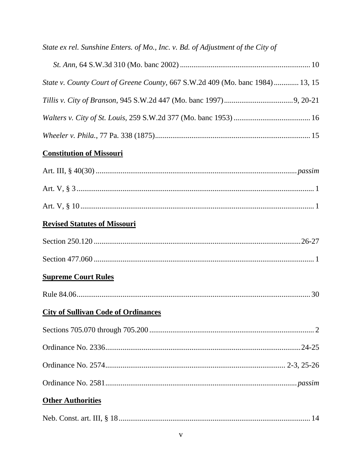# State ex rel. Sunshine Enters. of Mo., Inc. v. Bd. of Adjustment of the City of

| State v. County Court of Greene County, 667 S.W.2d 409 (Mo. banc 1984) 13, 15 |  |
|-------------------------------------------------------------------------------|--|
|                                                                               |  |
|                                                                               |  |
|                                                                               |  |

# **Constitution of Missouri**

| <b>Revised Statutes of Missouri</b>        |
|--------------------------------------------|
|                                            |
|                                            |
| <b>Supreme Court Rules</b>                 |
|                                            |
| <b>City of Sullivan Code of Ordinances</b> |
|                                            |
|                                            |
|                                            |
|                                            |
| <b>Other Authorities</b>                   |
|                                            |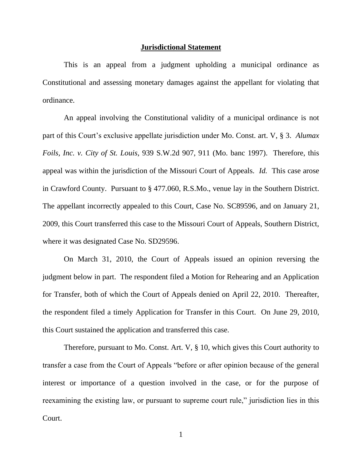#### **Jurisdictional Statement**

This is an appeal from a judgment upholding a municipal ordinance as Constitutional and assessing monetary damages against the appellant for violating that ordinance.

An appeal involving the Constitutional validity of a municipal ordinance is not part of this Court's exclusive appellate jurisdiction under Mo. Const. art. V, § 3. *Alumax Foils, Inc. v. City of St. Louis*, 939 S.W.2d 907, 911 (Mo. banc 1997). Therefore, this appeal was within the jurisdiction of the Missouri Court of Appeals. *Id.* This case arose in Crawford County. Pursuant to § 477.060, R.S.Mo., venue lay in the Southern District. The appellant incorrectly appealed to this Court, Case No. SC89596, and on January 21, 2009, this Court transferred this case to the Missouri Court of Appeals, Southern District, where it was designated Case No. SD29596.

On March 31, 2010, the Court of Appeals issued an opinion reversing the judgment below in part. The respondent filed a Motion for Rehearing and an Application for Transfer, both of which the Court of Appeals denied on April 22, 2010. Thereafter, the respondent filed a timely Application for Transfer in this Court. On June 29, 2010, this Court sustained the application and transferred this case.

Therefore, pursuant to Mo. Const. Art. V, § 10, which gives this Court authority to transfer a case from the Court of Appeals "before or after opinion because of the general interest or importance of a question involved in the case, or for the purpose of reexamining the existing law, or pursuant to supreme court rule," jurisdiction lies in this Court.

1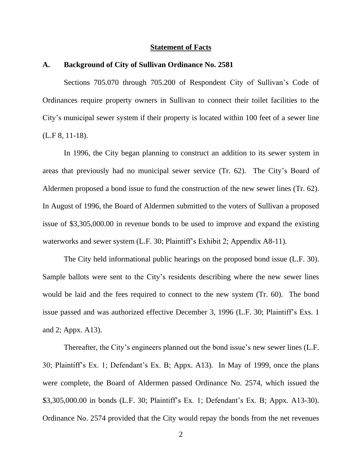### **Statement of Facts**

### **A. Background of City of Sullivan Ordinance No. 2581**

Sections 705.070 through 705.200 of Respondent City of Sullivan's Code of Ordinances require property owners in Sullivan to connect their toilet facilities to the City"s municipal sewer system if their property is located within 100 feet of a sewer line (L.F 8, 11-18).

In 1996, the City began planning to construct an addition to its sewer system in areas that previously had no municipal sewer service (Tr. 62). The City"s Board of Aldermen proposed a bond issue to fund the construction of the new sewer lines (Tr. 62). In August of 1996, the Board of Aldermen submitted to the voters of Sullivan a proposed issue of \$3,305,000.00 in revenue bonds to be used to improve and expand the existing waterworks and sewer system (L.F. 30; Plaintiff's Exhibit 2; Appendix A8-11).

The City held informational public hearings on the proposed bond issue (L.F. 30). Sample ballots were sent to the City"s residents describing where the new sewer lines would be laid and the fees required to connect to the new system (Tr. 60). The bond issue passed and was authorized effective December 3, 1996 (L.F. 30; Plaintiff"s Exs. 1 and 2; Appx. A13).

Thereafter, the City's engineers planned out the bond issue's new sewer lines (L.F. 30; Plaintiff"s Ex. 1; Defendant"s Ex. B; Appx. A13). In May of 1999, once the plans were complete, the Board of Aldermen passed Ordinance No. 2574, which issued the \$3,305,000.00 in bonds (L.F. 30; Plaintiff's Ex. 1; Defendant's Ex. B; Appx. A13-30). Ordinance No. 2574 provided that the City would repay the bonds from the net revenues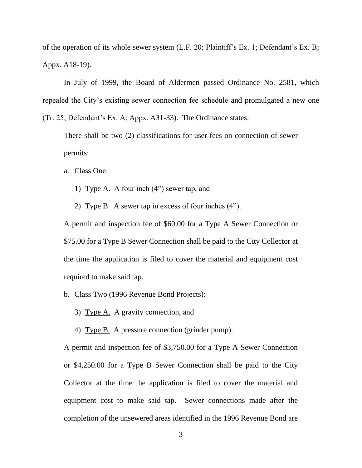of the operation of its whole sewer system (L.F. 20; Plaintiff"s Ex. 1; Defendant"s Ex. B; Appx. A18-19).

In July of 1999, the Board of Aldermen passed Ordinance No. 2581, which repealed the City"s existing sewer connection fee schedule and promulgated a new one (Tr. 25; Defendant"s Ex. A; Appx. A31-33). The Ordinance states:

There shall be two (2) classifications for user fees on connection of sewer permits:

a. Class One:

- 1) Type A. A four inch (4") sewer tap, and
- 2) Type B. A sewer tap in excess of four inches (4").

A permit and inspection fee of \$60.00 for a Type A Sewer Connection or \$75.00 for a Type B Sewer Connection shall be paid to the City Collector at the time the application is filed to cover the material and equipment cost required to make said tap.

- b. Class Two (1996 Revenue Bond Projects):
	- 3) Type A. A gravity connection, and
	- 4) Type B. A pressure connection (grinder pump).

A permit and inspection fee of \$3,750.00 for a Type A Sewer Connection or \$4,250.00 for a Type B Sewer Connection shall be paid to the City Collector at the time the application is filed to cover the material and equipment cost to make said tap. Sewer connections made after the completion of the unsewered areas identified in the 1996 Revenue Bond are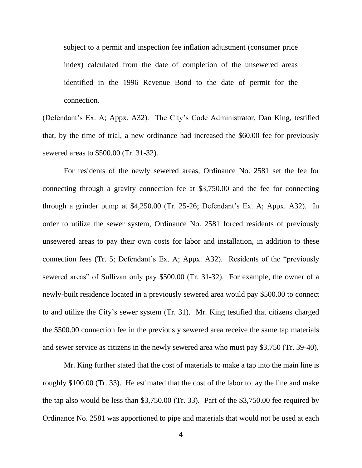subject to a permit and inspection fee inflation adjustment (consumer price index) calculated from the date of completion of the unsewered areas identified in the 1996 Revenue Bond to the date of permit for the connection.

(Defendant"s Ex. A; Appx. A32). The City"s Code Administrator, Dan King, testified that, by the time of trial, a new ordinance had increased the \$60.00 fee for previously sewered areas to \$500.00 (Tr. 31-32).

For residents of the newly sewered areas, Ordinance No. 2581 set the fee for connecting through a gravity connection fee at \$3,750.00 and the fee for connecting through a grinder pump at \$4,250.00 (Tr. 25-26; Defendant"s Ex. A; Appx. A32). In order to utilize the sewer system, Ordinance No. 2581 forced residents of previously unsewered areas to pay their own costs for labor and installation, in addition to these connection fees (Tr. 5; Defendant"s Ex. A; Appx. A32). Residents of the "previously sewered areas" of Sullivan only pay \$500.00 (Tr. 31-32). For example, the owner of a newly-built residence located in a previously sewered area would pay \$500.00 to connect to and utilize the City"s sewer system (Tr. 31). Mr. King testified that citizens charged the \$500.00 connection fee in the previously sewered area receive the same tap materials and sewer service as citizens in the newly sewered area who must pay \$3,750 (Tr. 39-40).

Mr. King further stated that the cost of materials to make a tap into the main line is roughly \$100.00 (Tr. 33). He estimated that the cost of the labor to lay the line and make the tap also would be less than \$3,750.00 (Tr. 33). Part of the \$3,750.00 fee required by Ordinance No. 2581 was apportioned to pipe and materials that would not be used at each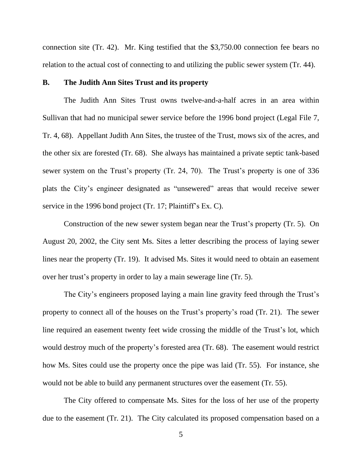connection site (Tr. 42). Mr. King testified that the \$3,750.00 connection fee bears no relation to the actual cost of connecting to and utilizing the public sewer system (Tr. 44).

## **B. The Judith Ann Sites Trust and its property**

The Judith Ann Sites Trust owns twelve-and-a-half acres in an area within Sullivan that had no municipal sewer service before the 1996 bond project (Legal File 7, Tr. 4, 68). Appellant Judith Ann Sites, the trustee of the Trust, mows six of the acres, and the other six are forested (Tr. 68). She always has maintained a private septic tank-based sewer system on the Trust's property (Tr. 24, 70). The Trust's property is one of 336 plats the City"s engineer designated as "unsewered" areas that would receive sewer service in the 1996 bond project (Tr. 17; Plaintiff's Ex. C).

Construction of the new sewer system began near the Trust's property (Tr. 5). On August 20, 2002, the City sent Ms. Sites a letter describing the process of laying sewer lines near the property (Tr. 19). It advised Ms. Sites it would need to obtain an easement over her trust"s property in order to lay a main sewerage line (Tr. 5).

The City's engineers proposed laying a main line gravity feed through the Trust's property to connect all of the houses on the Trust"s property"s road (Tr. 21). The sewer line required an easement twenty feet wide crossing the middle of the Trust's lot, which would destroy much of the property's forested area (Tr. 68). The easement would restrict how Ms. Sites could use the property once the pipe was laid (Tr. 55). For instance, she would not be able to build any permanent structures over the easement (Tr. 55).

The City offered to compensate Ms. Sites for the loss of her use of the property due to the easement (Tr. 21). The City calculated its proposed compensation based on a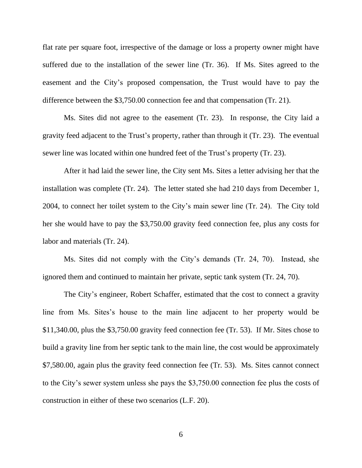flat rate per square foot, irrespective of the damage or loss a property owner might have suffered due to the installation of the sewer line (Tr. 36). If Ms. Sites agreed to the easement and the City"s proposed compensation, the Trust would have to pay the difference between the \$3,750.00 connection fee and that compensation (Tr. 21).

Ms. Sites did not agree to the easement (Tr. 23). In response, the City laid a gravity feed adjacent to the Trust"s property, rather than through it (Tr. 23). The eventual sewer line was located within one hundred feet of the Trust's property (Tr. 23).

After it had laid the sewer line, the City sent Ms. Sites a letter advising her that the installation was complete (Tr. 24). The letter stated she had 210 days from December 1, 2004, to connect her toilet system to the City"s main sewer line (Tr. 24). The City told her she would have to pay the \$3,750.00 gravity feed connection fee, plus any costs for labor and materials (Tr. 24).

Ms. Sites did not comply with the City's demands (Tr. 24, 70). Instead, she ignored them and continued to maintain her private, septic tank system (Tr. 24, 70).

The City's engineer, Robert Schaffer, estimated that the cost to connect a gravity line from Ms. Sites"s house to the main line adjacent to her property would be \$11,340.00, plus the \$3,750.00 gravity feed connection fee (Tr. 53). If Mr. Sites chose to build a gravity line from her septic tank to the main line, the cost would be approximately \$7,580.00, again plus the gravity feed connection fee (Tr. 53). Ms. Sites cannot connect to the City"s sewer system unless she pays the \$3,750.00 connection fee plus the costs of construction in either of these two scenarios (L.F. 20).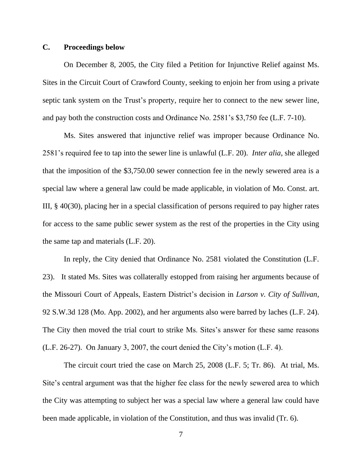## **C. Proceedings below**

On December 8, 2005, the City filed a Petition for Injunctive Relief against Ms. Sites in the Circuit Court of Crawford County, seeking to enjoin her from using a private septic tank system on the Trust's property, require her to connect to the new sewer line, and pay both the construction costs and Ordinance No. 2581"s \$3,750 fee (L.F. 7-10).

Ms. Sites answered that injunctive relief was improper because Ordinance No. 2581"s required fee to tap into the sewer line is unlawful (L.F. 20). *Inter alia*, she alleged that the imposition of the \$3,750.00 sewer connection fee in the newly sewered area is a special law where a general law could be made applicable, in violation of Mo. Const. art. III, § 40(30), placing her in a special classification of persons required to pay higher rates for access to the same public sewer system as the rest of the properties in the City using the same tap and materials (L.F. 20).

In reply, the City denied that Ordinance No. 2581 violated the Constitution (L.F. 23). It stated Ms. Sites was collaterally estopped from raising her arguments because of the Missouri Court of Appeals, Eastern District"s decision in *Larson v. City of Sullivan*, 92 S.W.3d 128 (Mo. App. 2002), and her arguments also were barred by laches (L.F. 24). The City then moved the trial court to strike Ms. Sites's answer for these same reasons (L.F. 26-27). On January 3, 2007, the court denied the City"s motion (L.F. 4).

The circuit court tried the case on March 25, 2008 (L.F. 5; Tr. 86). At trial, Ms. Site's central argument was that the higher fee class for the newly sewered area to which the City was attempting to subject her was a special law where a general law could have been made applicable, in violation of the Constitution, and thus was invalid (Tr. 6).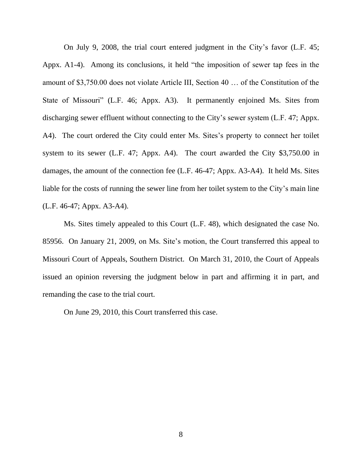On July 9, 2008, the trial court entered judgment in the City"s favor (L.F. 45; Appx. A1-4). Among its conclusions, it held "the imposition of sewer tap fees in the amount of \$3,750.00 does not violate Article III, Section 40 … of the Constitution of the State of Missouri" (L.F. 46; Appx. A3). It permanently enjoined Ms. Sites from discharging sewer effluent without connecting to the City's sewer system (L.F. 47; Appx. A4). The court ordered the City could enter Ms. Sites's property to connect her toilet system to its sewer (L.F. 47; Appx. A4). The court awarded the City \$3,750.00 in damages, the amount of the connection fee (L.F. 46-47; Appx. A3-A4). It held Ms. Sites liable for the costs of running the sewer line from her toilet system to the City"s main line (L.F. 46-47; Appx. A3-A4).

Ms. Sites timely appealed to this Court (L.F. 48), which designated the case No. 85956. On January 21, 2009, on Ms. Site"s motion, the Court transferred this appeal to Missouri Court of Appeals, Southern District. On March 31, 2010, the Court of Appeals issued an opinion reversing the judgment below in part and affirming it in part, and remanding the case to the trial court.

On June 29, 2010, this Court transferred this case.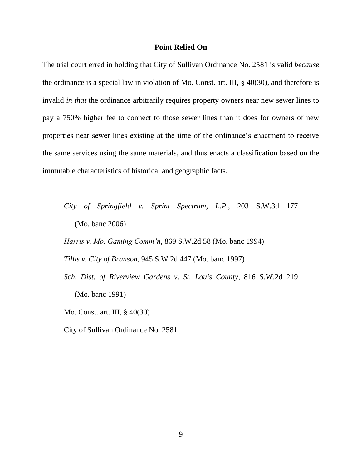### **Point Relied On**

The trial court erred in holding that City of Sullivan Ordinance No. 2581 is valid *because* the ordinance is a special law in violation of Mo. Const. art. III, § 40(30), and therefore is invalid *in that* the ordinance arbitrarily requires property owners near new sewer lines to pay a 750% higher fee to connect to those sewer lines than it does for owners of new properties near sewer lines existing at the time of the ordinance"s enactment to receive the same services using the same materials, and thus enacts a classification based on the immutable characteristics of historical and geographic facts.

*City of Springfield v. Sprint Spectrum, L.P.*, 203 S.W.3d 177 (Mo. banc 2006)

*Harris v. Mo. Gaming Comm'n*, 869 S.W.2d 58 (Mo. banc 1994)

*Tillis v. City of Branson*, 945 S.W.2d 447 (Mo. banc 1997)

*Sch. Dist. of Riverview Gardens v. St. Louis County*, 816 S.W.2d 219 (Mo. banc 1991)

Mo. Const. art. III, § 40(30)

City of Sullivan Ordinance No. 2581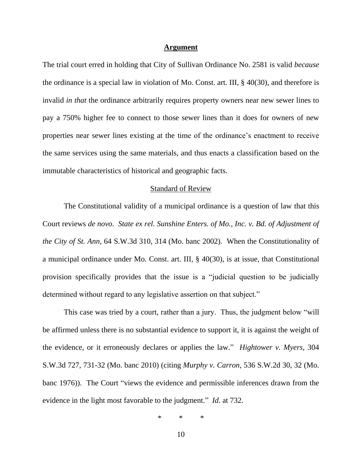### **Argument**

The trial court erred in holding that City of Sullivan Ordinance No. 2581 is valid *because* the ordinance is a special law in violation of Mo. Const. art. III, § 40(30), and therefore is invalid *in that* the ordinance arbitrarily requires property owners near new sewer lines to pay a 750% higher fee to connect to those sewer lines than it does for owners of new properties near sewer lines existing at the time of the ordinance"s enactment to receive the same services using the same materials, and thus enacts a classification based on the immutable characteristics of historical and geographic facts.

## Standard of Review

The Constitutional validity of a municipal ordinance is a question of law that this Court reviews *de novo*. *State ex rel. Sunshine Enters. of Mo., Inc. v. Bd. of Adjustment of the City of St. Ann*, 64 S.W.3d 310, 314 (Mo. banc 2002). When the Constitutionality of a municipal ordinance under Mo. Const. art. III, § 40(30), is at issue, that Constitutional provision specifically provides that the issue is a "judicial question to be judicially determined without regard to any legislative assertion on that subject."

This case was tried by a court, rather than a jury. Thus, the judgment below "will be affirmed unless there is no substantial evidence to support it, it is against the weight of the evidence, or it erroneously declares or applies the law." *Hightower v. Myers*, 304 S.W.3d 727, 731-32 (Mo. banc 2010) (citing *Murphy v. Carron*, 536 S.W.2d 30, 32 (Mo. banc 1976)). The Court "views the evidence and permissible inferences drawn from the evidence in the light most favorable to the judgment." *Id.* at 732.

\* \* \*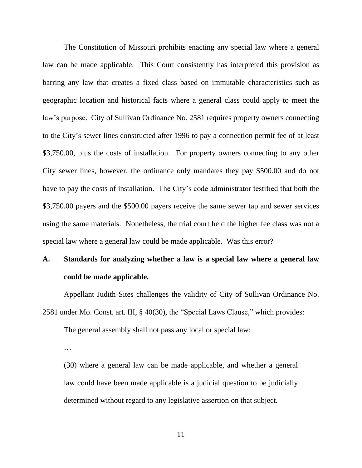The Constitution of Missouri prohibits enacting any special law where a general law can be made applicable. This Court consistently has interpreted this provision as barring any law that creates a fixed class based on immutable characteristics such as geographic location and historical facts where a general class could apply to meet the law"s purpose. City of Sullivan Ordinance No. 2581 requires property owners connecting to the City"s sewer lines constructed after 1996 to pay a connection permit fee of at least \$3,750.00, plus the costs of installation. For property owners connecting to any other City sewer lines, however, the ordinance only mandates they pay \$500.00 and do not have to pay the costs of installation. The City's code administrator testified that both the \$3,750.00 payers and the \$500.00 payers receive the same sewer tap and sewer services using the same materials. Nonetheless, the trial court held the higher fee class was not a special law where a general law could be made applicable. Was this error?

# **A. Standards for analyzing whether a law is a special law where a general law could be made applicable.**

Appellant Judith Sites challenges the validity of City of Sullivan Ordinance No. 2581 under Mo. Const. art. III, § 40(30), the "Special Laws Clause," which provides:

The general assembly shall not pass any local or special law:

(30) where a general law can be made applicable, and whether a general law could have been made applicable is a judicial question to be judicially determined without regard to any legislative assertion on that subject.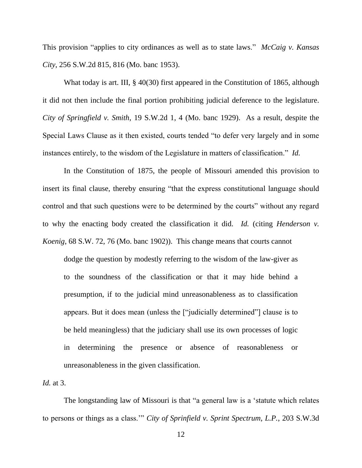This provision "applies to city ordinances as well as to state laws." *McCaig v. Kansas City*, 256 S.W.2d 815, 816 (Mo. banc 1953).

What today is art. III, § 40(30) first appeared in the Constitution of 1865, although it did not then include the final portion prohibiting judicial deference to the legislature. *City of Springfield v. Smith*, 19 S.W.2d 1, 4 (Mo. banc 1929). As a result, despite the Special Laws Clause as it then existed, courts tended "to defer very largely and in some instances entirely, to the wisdom of the Legislature in matters of classification." *Id.*

In the Constitution of 1875, the people of Missouri amended this provision to insert its final clause, thereby ensuring "that the express constitutional language should control and that such questions were to be determined by the courts" without any regard to why the enacting body created the classification it did. *Id.* (citing *Henderson v. Koenig*, 68 S.W. 72, 76 (Mo. banc 1902)). This change means that courts cannot

dodge the question by modestly referring to the wisdom of the law-giver as to the soundness of the classification or that it may hide behind a presumption, if to the judicial mind unreasonableness as to classification appears. But it does mean (unless the ["judicially determined"] clause is to be held meaningless) that the judiciary shall use its own processes of logic in determining the presence or absence of reasonableness or unreasonableness in the given classification.

*Id.* at 3.

The longstanding law of Missouri is that "a general law is a "statute which relates to persons or things as a class."" *City of Sprinfield v. Sprint Spectrum, L.P.*, 203 S.W.3d

12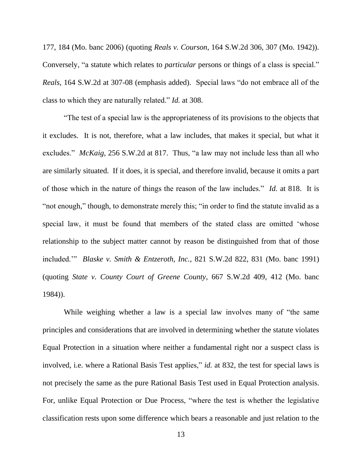177, 184 (Mo. banc 2006) (quoting *Reals v. Courson*, 164 S.W.2d 306, 307 (Mo. 1942)). Conversely, "a statute which relates to *particular* persons or things of a class is special." *Reals*, 164 S.W.2d at 307-08 (emphasis added). Special laws "do not embrace all of the class to which they are naturally related." *Id.* at 308.

"The test of a special law is the appropriateness of its provisions to the objects that it excludes. It is not, therefore, what a law includes, that makes it special, but what it excludes." *McKaig*, 256 S.W.2d at 817. Thus, "a law may not include less than all who are similarly situated. If it does, it is special, and therefore invalid, because it omits a part of those which in the nature of things the reason of the law includes." *Id.* at 818. It is "not enough," though, to demonstrate merely this; "in order to find the statute invalid as a special law, it must be found that members of the stated class are omitted "whose relationship to the subject matter cannot by reason be distinguished from that of those included."" *Blaske v. Smith & Entzeroth, Inc.*, 821 S.W.2d 822, 831 (Mo. banc 1991) (quoting *State v. County Court of Greene County*, 667 S.W.2d 409, 412 (Mo. banc 1984)).

While weighing whether a law is a special law involves many of "the same principles and considerations that are involved in determining whether the statute violates Equal Protection in a situation where neither a fundamental right nor a suspect class is involved, i.e. where a Rational Basis Test applies," *id.* at 832, the test for special laws is not precisely the same as the pure Rational Basis Test used in Equal Protection analysis. For, unlike Equal Protection or Due Process, "where the test is whether the legislative classification rests upon some difference which bears a reasonable and just relation to the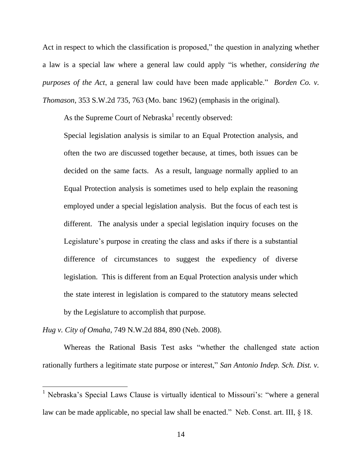Act in respect to which the classification is proposed," the question in analyzing whether a law is a special law where a general law could apply "is whether, *considering the purposes of the Act*, a general law could have been made applicable." *Borden Co. v. Thomason*, 353 S.W.2d 735, 763 (Mo. banc 1962) (emphasis in the original).

As the Supreme Court of Nebraska<sup>1</sup> recently observed:

Special legislation analysis is similar to an Equal Protection analysis, and often the two are discussed together because, at times, both issues can be decided on the same facts. As a result, language normally applied to an Equal Protection analysis is sometimes used to help explain the reasoning employed under a special legislation analysis. But the focus of each test is different. The analysis under a special legislation inquiry focuses on the Legislature's purpose in creating the class and asks if there is a substantial difference of circumstances to suggest the expediency of diverse legislation. This is different from an Equal Protection analysis under which the state interest in legislation is compared to the statutory means selected by the Legislature to accomplish that purpose.

*Hug v. City of Omaha*, 749 N.W.2d 884, 890 (Neb. 2008).

 $\overline{a}$ 

Whereas the Rational Basis Test asks "whether the challenged state action rationally furthers a legitimate state purpose or interest," *San Antonio Indep. Sch. Dist. v.* 

 $<sup>1</sup>$  Nebraska's Special Laws Clause is virtually identical to Missouri's: "where a general</sup> law can be made applicable, no special law shall be enacted." Neb. Const. art. III, § 18.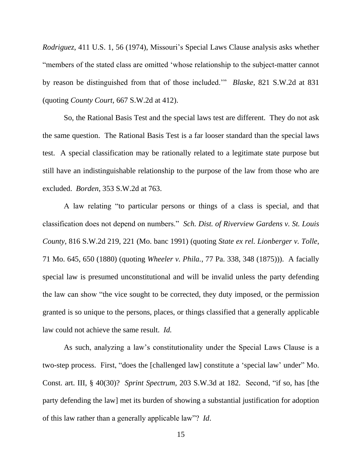*Rodriguez*, 411 U.S. 1, 56 (1974), Missouri's Special Laws Clause analysis asks whether "members of the stated class are omitted "whose relationship to the subject-matter cannot by reason be distinguished from that of those included."" *Blaske*, 821 S.W.2d at 831 (quoting *County Court*, 667 S.W.2d at 412).

So, the Rational Basis Test and the special laws test are different. They do not ask the same question. The Rational Basis Test is a far looser standard than the special laws test. A special classification may be rationally related to a legitimate state purpose but still have an indistinguishable relationship to the purpose of the law from those who are excluded. *Borden*, 353 S.W.2d at 763.

A law relating "to particular persons or things of a class is special, and that classification does not depend on numbers." *Sch. Dist. of Riverview Gardens v. St. Louis County*, 816 S.W.2d 219, 221 (Mo. banc 1991) (quoting *State ex rel. Lionberger v. Tolle*, 71 Mo. 645, 650 (1880) (quoting *Wheeler v. Phila.*, 77 Pa. 338, 348 (1875))). A facially special law is presumed unconstitutional and will be invalid unless the party defending the law can show "the vice sought to be corrected, they duty imposed, or the permission granted is so unique to the persons, places, or things classified that a generally applicable law could not achieve the same result. *Id.*

As such, analyzing a law"s constitutionality under the Special Laws Clause is a two-step process. First, "does the [challenged law] constitute a "special law" under" Mo. Const. art. III, § 40(30)? *Sprint Spectrum,* 203 S.W.3d at 182. Second, "if so, has [the party defending the law] met its burden of showing a substantial justification for adoption of this law rather than a generally applicable law"? *Id*.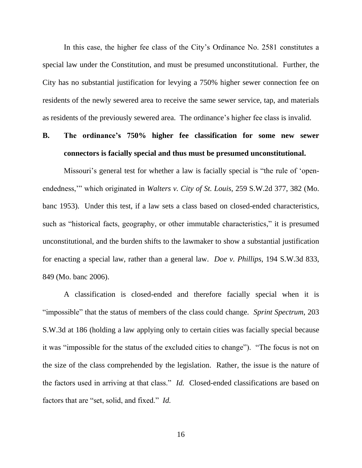In this case, the higher fee class of the City"s Ordinance No. 2581 constitutes a special law under the Constitution, and must be presumed unconstitutional. Further, the City has no substantial justification for levying a 750% higher sewer connection fee on residents of the newly sewered area to receive the same sewer service, tap, and materials as residents of the previously sewered area. The ordinance"s higher fee class is invalid.

# **B. The ordinance's 750% higher fee classification for some new sewer connectors is facially special and thus must be presumed unconstitutional.**

Missouri's general test for whether a law is facially special is "the rule of 'openendedness,"" which originated in *Walters v. City of St. Louis*, 259 S.W.2d 377, 382 (Mo. banc 1953). Under this test, if a law sets a class based on closed-ended characteristics, such as "historical facts, geography, or other immutable characteristics," it is presumed unconstitutional, and the burden shifts to the lawmaker to show a substantial justification for enacting a special law, rather than a general law. *Doe v. Phillips*, 194 S.W.3d 833, 849 (Mo. banc 2006).

A classification is closed-ended and therefore facially special when it is "impossible" that the status of members of the class could change. *Sprint Spectrum*, 203 S.W.3d at 186 (holding a law applying only to certain cities was facially special because it was "impossible for the status of the excluded cities to change"). "The focus is not on the size of the class comprehended by the legislation. Rather, the issue is the nature of the factors used in arriving at that class." *Id.* Closed-ended classifications are based on factors that are "set, solid, and fixed." *Id.*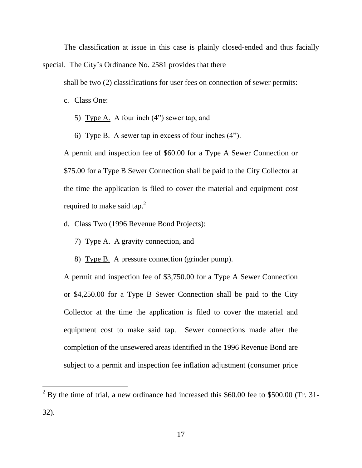The classification at issue in this case is plainly closed-ended and thus facially special. The City's Ordinance No. 2581 provides that there

shall be two (2) classifications for user fees on connection of sewer permits:

c. Class One:

 $\overline{a}$ 

- 5) Type A. A four inch (4") sewer tap, and
- 6) Type B. A sewer tap in excess of four inches (4").

A permit and inspection fee of \$60.00 for a Type A Sewer Connection or \$75.00 for a Type B Sewer Connection shall be paid to the City Collector at the time the application is filed to cover the material and equipment cost required to make said tap.<sup>2</sup>

- d. Class Two (1996 Revenue Bond Projects):
	- 7) Type A. A gravity connection, and
	- 8) Type B. A pressure connection (grinder pump).

A permit and inspection fee of \$3,750.00 for a Type A Sewer Connection or \$4,250.00 for a Type B Sewer Connection shall be paid to the City Collector at the time the application is filed to cover the material and equipment cost to make said tap. Sewer connections made after the completion of the unsewered areas identified in the 1996 Revenue Bond are subject to a permit and inspection fee inflation adjustment (consumer price

 $2^{2}$  By the time of trial, a new ordinance had increased this \$60.00 fee to \$500.00 (Tr. 31-32).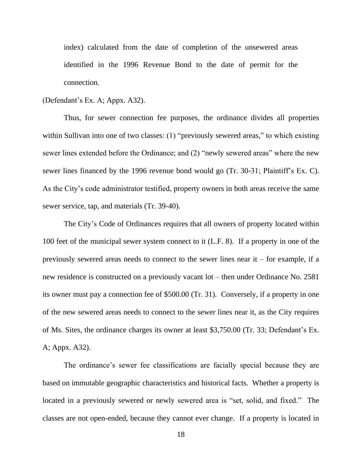index) calculated from the date of completion of the unsewered areas identified in the 1996 Revenue Bond to the date of permit for the connection.

### (Defendant"s Ex. A; Appx. A32).

Thus, for sewer connection fee purposes, the ordinance divides all properties within Sullivan into one of two classes: (1) "previously sewered areas," to which existing sewer lines extended before the Ordinance; and (2) "newly sewered areas" where the new sewer lines financed by the 1996 revenue bond would go (Tr. 30-31; Plaintiff's Ex. C). As the City's code administrator testified, property owners in both areas receive the same sewer service, tap, and materials (Tr. 39-40).

The City's Code of Ordinances requires that all owners of property located within 100 feet of the municipal sewer system connect to it (L.F. 8). If a property in one of the previously sewered areas needs to connect to the sewer lines near it – for example, if a new residence is constructed on a previously vacant lot – then under Ordinance No. 2581 its owner must pay a connection fee of \$500.00 (Tr. 31). Conversely, if a property in one of the new sewered areas needs to connect to the sewer lines near it, as the City requires of Ms. Sites, the ordinance charges its owner at least \$3,750.00 (Tr. 33; Defendant"s Ex. A; Appx. A32).

The ordinance's sewer fee classifications are facially special because they are based on immutable geographic characteristics and historical facts. Whether a property is located in a previously sewered or newly sewered area is "set, solid, and fixed." The classes are not open-ended, because they cannot ever change. If a property is located in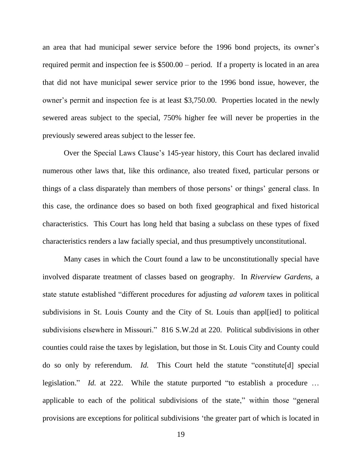an area that had municipal sewer service before the 1996 bond projects, its owner"s required permit and inspection fee is \$500.00 – period. If a property is located in an area that did not have municipal sewer service prior to the 1996 bond issue, however, the owner's permit and inspection fee is at least \$3,750.00. Properties located in the newly sewered areas subject to the special, 750% higher fee will never be properties in the previously sewered areas subject to the lesser fee.

Over the Special Laws Clause"s 145-year history, this Court has declared invalid numerous other laws that, like this ordinance, also treated fixed, particular persons or things of a class disparately than members of those persons" or things" general class. In this case, the ordinance does so based on both fixed geographical and fixed historical characteristics. This Court has long held that basing a subclass on these types of fixed characteristics renders a law facially special, and thus presumptively unconstitutional.

Many cases in which the Court found a law to be unconstitutionally special have involved disparate treatment of classes based on geography. In *Riverview Gardens*, a state statute established "different procedures for adjusting *ad valorem* taxes in political subdivisions in St. Louis County and the City of St. Louis than appl[ied] to political subdivisions elsewhere in Missouri." 816 S.W.2d at 220. Political subdivisions in other counties could raise the taxes by legislation, but those in St. Louis City and County could do so only by referendum. *Id.* This Court held the statute "constitute[d] special legislation." *Id.* at 222. While the statute purported "to establish a procedure … applicable to each of the political subdivisions of the state," within those "general provisions are exceptions for political subdivisions "the greater part of which is located in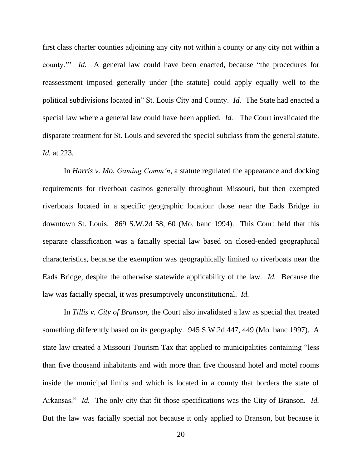first class charter counties adjoining any city not within a county or any city not within a county."" *Id.* A general law could have been enacted, because "the procedures for reassessment imposed generally under [the statute] could apply equally well to the political subdivisions located in" St. Louis City and County. *Id.* The State had enacted a special law where a general law could have been applied. *Id.* The Court invalidated the disparate treatment for St. Louis and severed the special subclass from the general statute. *Id.* at 223.

In *Harris v. Mo. Gaming Comm'n*, a statute regulated the appearance and docking requirements for riverboat casinos generally throughout Missouri, but then exempted riverboats located in a specific geographic location: those near the Eads Bridge in downtown St. Louis. 869 S.W.2d 58, 60 (Mo. banc 1994). This Court held that this separate classification was a facially special law based on closed-ended geographical characteristics, because the exemption was geographically limited to riverboats near the Eads Bridge, despite the otherwise statewide applicability of the law. *Id.* Because the law was facially special, it was presumptively unconstitutional. *Id.*

In *Tillis v. City of Branson*, the Court also invalidated a law as special that treated something differently based on its geography. 945 S.W.2d 447, 449 (Mo. banc 1997). A state law created a Missouri Tourism Tax that applied to municipalities containing "less than five thousand inhabitants and with more than five thousand hotel and motel rooms inside the municipal limits and which is located in a county that borders the state of Arkansas." *Id.* The only city that fit those specifications was the City of Branson. *Id.* But the law was facially special not because it only applied to Branson, but because it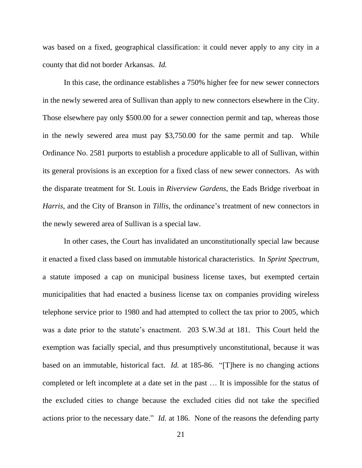was based on a fixed, geographical classification: it could never apply to any city in a county that did not border Arkansas. *Id.*

In this case, the ordinance establishes a 750% higher fee for new sewer connectors in the newly sewered area of Sullivan than apply to new connectors elsewhere in the City. Those elsewhere pay only \$500.00 for a sewer connection permit and tap, whereas those in the newly sewered area must pay \$3,750.00 for the same permit and tap. While Ordinance No. 2581 purports to establish a procedure applicable to all of Sullivan, within its general provisions is an exception for a fixed class of new sewer connectors. As with the disparate treatment for St. Louis in *Riverview Gardens*, the Eads Bridge riverboat in *Harris*, and the City of Branson in *Tillis*, the ordinance's treatment of new connectors in the newly sewered area of Sullivan is a special law.

In other cases, the Court has invalidated an unconstitutionally special law because it enacted a fixed class based on immutable historical characteristics. In *Sprint Spectrum*, a statute imposed a cap on municipal business license taxes, but exempted certain municipalities that had enacted a business license tax on companies providing wireless telephone service prior to 1980 and had attempted to collect the tax prior to 2005, which was a date prior to the statute's enactment. 203 S.W.3d at 181. This Court held the exemption was facially special, and thus presumptively unconstitutional, because it was based on an immutable, historical fact. *Id.* at 185-86. "[T]here is no changing actions completed or left incomplete at a date set in the past … It is impossible for the status of the excluded cities to change because the excluded cities did not take the specified actions prior to the necessary date." *Id.* at 186. None of the reasons the defending party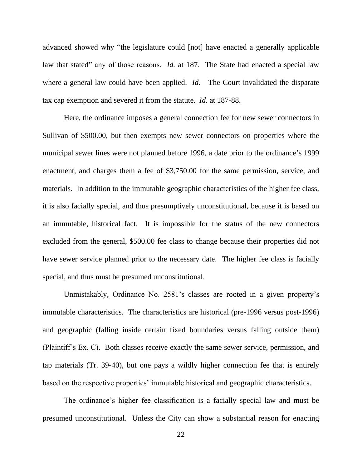advanced showed why "the legislature could [not] have enacted a generally applicable law that stated" any of those reasons. *Id.* at 187. The State had enacted a special law where a general law could have been applied. *Id.* The Court invalidated the disparate tax cap exemption and severed it from the statute. *Id.* at 187-88.

Here, the ordinance imposes a general connection fee for new sewer connectors in Sullivan of \$500.00, but then exempts new sewer connectors on properties where the municipal sewer lines were not planned before 1996, a date prior to the ordinance"s 1999 enactment, and charges them a fee of \$3,750.00 for the same permission, service, and materials. In addition to the immutable geographic characteristics of the higher fee class, it is also facially special, and thus presumptively unconstitutional, because it is based on an immutable, historical fact. It is impossible for the status of the new connectors excluded from the general, \$500.00 fee class to change because their properties did not have sewer service planned prior to the necessary date. The higher fee class is facially special, and thus must be presumed unconstitutional.

Unmistakably, Ordinance No. 2581's classes are rooted in a given property's immutable characteristics. The characteristics are historical (pre-1996 versus post-1996) and geographic (falling inside certain fixed boundaries versus falling outside them) (Plaintiff"s Ex. C). Both classes receive exactly the same sewer service, permission, and tap materials (Tr. 39-40), but one pays a wildly higher connection fee that is entirely based on the respective properties' immutable historical and geographic characteristics.

The ordinance"s higher fee classification is a facially special law and must be presumed unconstitutional. Unless the City can show a substantial reason for enacting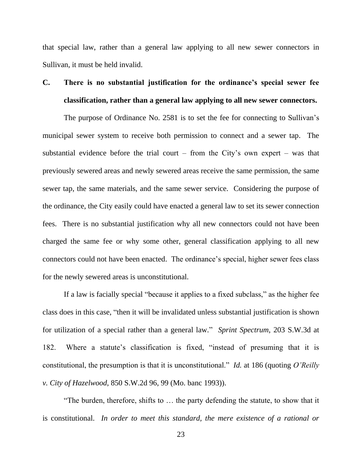that special law, rather than a general law applying to all new sewer connectors in Sullivan, it must be held invalid.

# **C. There is no substantial justification for the ordinance's special sewer fee classification, rather than a general law applying to all new sewer connectors.**

The purpose of Ordinance No. 2581 is to set the fee for connecting to Sullivan's municipal sewer system to receive both permission to connect and a sewer tap. The substantial evidence before the trial court – from the City's own expert – was that previously sewered areas and newly sewered areas receive the same permission, the same sewer tap, the same materials, and the same sewer service. Considering the purpose of the ordinance, the City easily could have enacted a general law to set its sewer connection fees. There is no substantial justification why all new connectors could not have been charged the same fee or why some other, general classification applying to all new connectors could not have been enacted. The ordinance"s special, higher sewer fees class for the newly sewered areas is unconstitutional.

If a law is facially special "because it applies to a fixed subclass," as the higher fee class does in this case, "then it will be invalidated unless substantial justification is shown for utilization of a special rather than a general law." *Sprint Spectrum*, 203 S.W.3d at 182. Where a statute"s classification is fixed, "instead of presuming that it is constitutional, the presumption is that it is unconstitutional." *Id.* at 186 (quoting *O'Reilly v. City of Hazelwood*, 850 S.W.2d 96, 99 (Mo. banc 1993)).

"The burden, therefore, shifts to … the party defending the statute, to show that it is constitutional. *In order to meet this standard, the mere existence of a rational or*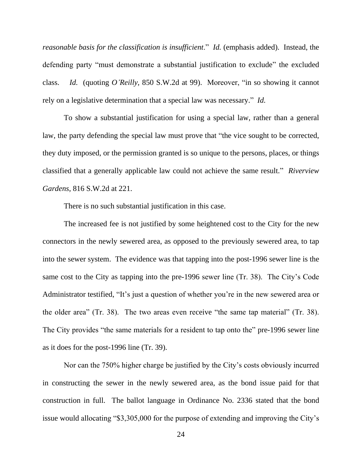*reasonable basis for the classification is insufficient*." *Id.* (emphasis added). Instead, the defending party "must demonstrate a substantial justification to exclude" the excluded class. *Id.* (quoting *O'Reilly*, 850 S.W.2d at 99). Moreover, "in so showing it cannot rely on a legislative determination that a special law was necessary." *Id.*

To show a substantial justification for using a special law, rather than a general law, the party defending the special law must prove that "the vice sought to be corrected, they duty imposed, or the permission granted is so unique to the persons, places, or things classified that a generally applicable law could not achieve the same result." *Riverview Gardens*, 816 S.W.2d at 221.

There is no such substantial justification in this case.

The increased fee is not justified by some heightened cost to the City for the new connectors in the newly sewered area, as opposed to the previously sewered area, to tap into the sewer system. The evidence was that tapping into the post-1996 sewer line is the same cost to the City as tapping into the pre-1996 sewer line (Tr. 38). The City"s Code Administrator testified, "It's just a question of whether you're in the new sewered area or the older area" (Tr. 38). The two areas even receive "the same tap material" (Tr. 38). The City provides "the same materials for a resident to tap onto the" pre-1996 sewer line as it does for the post-1996 line (Tr. 39).

Nor can the 750% higher charge be justified by the City"s costs obviously incurred in constructing the sewer in the newly sewered area, as the bond issue paid for that construction in full. The ballot language in Ordinance No. 2336 stated that the bond issue would allocating "\$3,305,000 for the purpose of extending and improving the City's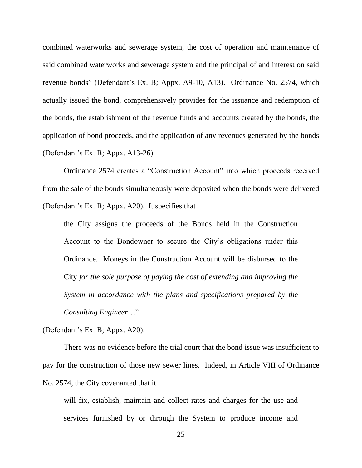combined waterworks and sewerage system, the cost of operation and maintenance of said combined waterworks and sewerage system and the principal of and interest on said revenue bonds" (Defendant"s Ex. B; Appx. A9-10, A13). Ordinance No. 2574, which actually issued the bond, comprehensively provides for the issuance and redemption of the bonds, the establishment of the revenue funds and accounts created by the bonds, the application of bond proceeds, and the application of any revenues generated by the bonds (Defendant"s Ex. B; Appx. A13-26).

Ordinance 2574 creates a "Construction Account" into which proceeds received from the sale of the bonds simultaneously were deposited when the bonds were delivered (Defendant"s Ex. B; Appx. A20). It specifies that

the City assigns the proceeds of the Bonds held in the Construction Account to the Bondowner to secure the City"s obligations under this Ordinance. Moneys in the Construction Account will be disbursed to the City *for the sole purpose of paying the cost of extending and improving the System in accordance with the plans and specifications prepared by the Consulting Engineer*…"

(Defendant"s Ex. B; Appx. A20).

There was no evidence before the trial court that the bond issue was insufficient to pay for the construction of those new sewer lines. Indeed, in Article VIII of Ordinance No. 2574, the City covenanted that it

will fix, establish, maintain and collect rates and charges for the use and services furnished by or through the System to produce income and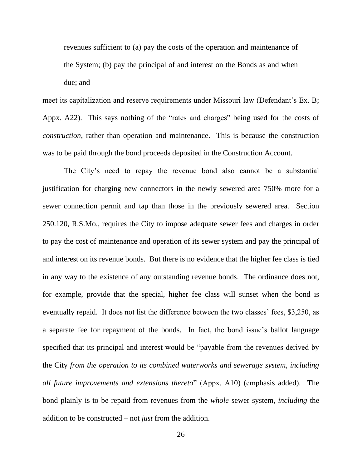revenues sufficient to (a) pay the costs of the operation and maintenance of the System; (b) pay the principal of and interest on the Bonds as and when due; and

meet its capitalization and reserve requirements under Missouri law (Defendant's Ex. B; Appx. A22). This says nothing of the "rates and charges" being used for the costs of *construction*, rather than operation and maintenance. This is because the construction was to be paid through the bond proceeds deposited in the Construction Account.

The City's need to repay the revenue bond also cannot be a substantial justification for charging new connectors in the newly sewered area 750% more for a sewer connection permit and tap than those in the previously sewered area. Section 250.120, R.S.Mo., requires the City to impose adequate sewer fees and charges in order to pay the cost of maintenance and operation of its sewer system and pay the principal of and interest on its revenue bonds. But there is no evidence that the higher fee class is tied in any way to the existence of any outstanding revenue bonds. The ordinance does not, for example, provide that the special, higher fee class will sunset when the bond is eventually repaid. It does not list the difference between the two classes' fees, \$3,250, as a separate fee for repayment of the bonds. In fact, the bond issue"s ballot language specified that its principal and interest would be "payable from the revenues derived by the City *from the operation to its combined waterworks and sewerage system, including all future improvements and extensions thereto*" (Appx. A10) (emphasis added). The bond plainly is to be repaid from revenues from the *whole* sewer system, *including* the addition to be constructed – not *just* from the addition.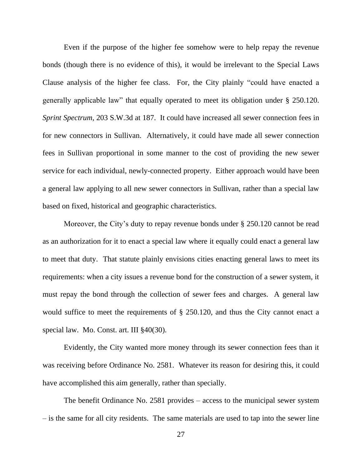Even if the purpose of the higher fee somehow were to help repay the revenue bonds (though there is no evidence of this), it would be irrelevant to the Special Laws Clause analysis of the higher fee class. For, the City plainly "could have enacted a generally applicable law" that equally operated to meet its obligation under § 250.120. *Sprint Spectrum*, 203 S.W.3d at 187. It could have increased all sewer connection fees in for new connectors in Sullivan. Alternatively, it could have made all sewer connection fees in Sullivan proportional in some manner to the cost of providing the new sewer service for each individual, newly-connected property. Either approach would have been a general law applying to all new sewer connectors in Sullivan, rather than a special law based on fixed, historical and geographic characteristics.

Moreover, the City's duty to repay revenue bonds under § 250.120 cannot be read as an authorization for it to enact a special law where it equally could enact a general law to meet that duty. That statute plainly envisions cities enacting general laws to meet its requirements: when a city issues a revenue bond for the construction of a sewer system, it must repay the bond through the collection of sewer fees and charges. A general law would suffice to meet the requirements of § 250.120, and thus the City cannot enact a special law. Mo. Const. art. III §40(30).

Evidently, the City wanted more money through its sewer connection fees than it was receiving before Ordinance No. 2581. Whatever its reason for desiring this, it could have accomplished this aim generally, rather than specially.

The benefit Ordinance No. 2581 provides – access to the municipal sewer system – is the same for all city residents. The same materials are used to tap into the sewer line